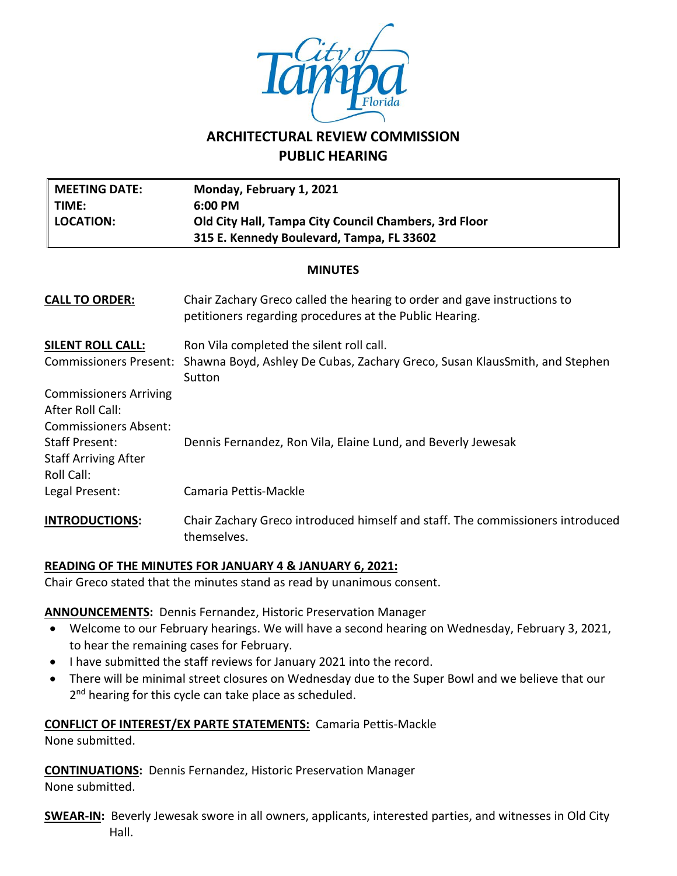

# **ARCHITECTURAL REVIEW COMMISSION PUBLIC HEARING**

| <b>MEETING DATE:</b><br>TIME:<br><b>LOCATION:</b>                                 | Monday, February 1, 2021<br>6:00 PM<br>Old City Hall, Tampa City Council Chambers, 3rd Floor<br>315 E. Kennedy Boulevard, Tampa, FL 33602 |  |  |
|-----------------------------------------------------------------------------------|-------------------------------------------------------------------------------------------------------------------------------------------|--|--|
| <b>MINUTES</b>                                                                    |                                                                                                                                           |  |  |
| <b>CALL TO ORDER:</b>                                                             | Chair Zachary Greco called the hearing to order and gave instructions to<br>petitioners regarding procedures at the Public Hearing.       |  |  |
| <u>SILENT ROLL CALL:</u>                                                          | Ron Vila completed the silent roll call.                                                                                                  |  |  |
| <b>Commissioners Present:</b>                                                     | Shawna Boyd, Ashley De Cubas, Zachary Greco, Susan KlausSmith, and Stephen<br>Sutton                                                      |  |  |
| <b>Commissioners Arriving</b><br>After Roll Call:<br><b>Commissioners Absent:</b> |                                                                                                                                           |  |  |
| Staff Present:<br><b>Staff Arriving After</b><br>Roll Call:                       | Dennis Fernandez, Ron Vila, Elaine Lund, and Beverly Jewesak                                                                              |  |  |
| Legal Present:                                                                    | Camaria Pettis-Mackle                                                                                                                     |  |  |
| <b>INTRODUCTIONS:</b>                                                             | Chair Zachary Greco introduced himself and staff. The commissioners introduced<br>themselves.                                             |  |  |

## **READING OF THE MINUTES FOR JANUARY 4 & JANUARY 6, 2021:**

Chair Greco stated that the minutes stand as read by unanimous consent.

## **ANNOUNCEMENTS:** Dennis Fernandez, Historic Preservation Manager

- Welcome to our February hearings. We will have a second hearing on Wednesday, February 3, 2021, to hear the remaining cases for February.
- I have submitted the staff reviews for January 2021 into the record.
- There will be minimal street closures on Wednesday due to the Super Bowl and we believe that our 2<sup>nd</sup> hearing for this cycle can take place as scheduled.

## **CONFLICT OF INTEREST/EX PARTE STATEMENTS:** Camaria Pettis-Mackle

None submitted.

**CONTINUATIONS:** Dennis Fernandez, Historic Preservation Manager

None submitted.

**SWEAR-IN:** Beverly Jewesak swore in all owners, applicants, interested parties, and witnesses in Old City Hall.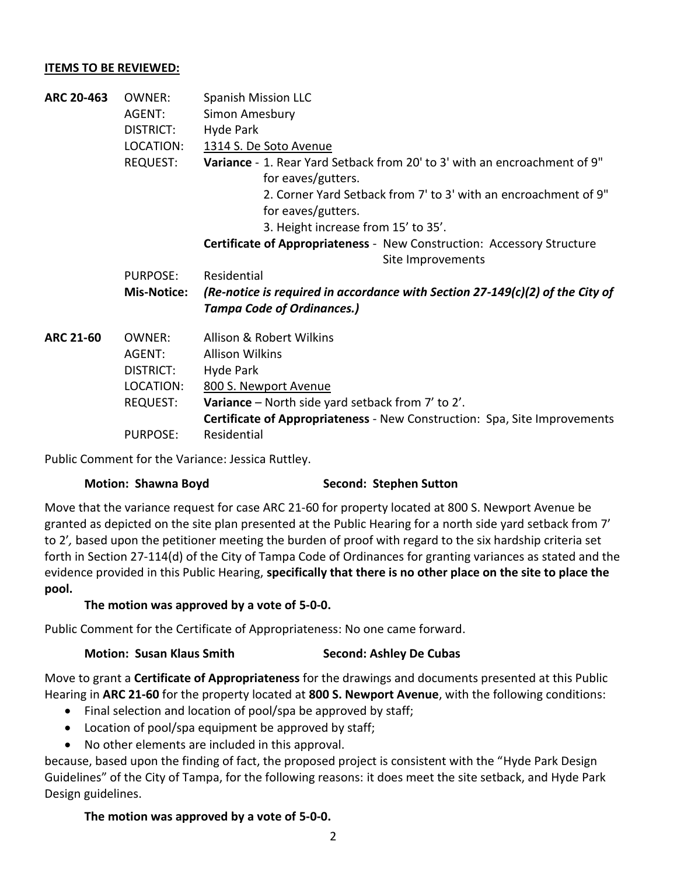## **ITEMS TO BE REVIEWED:**

**ARC 20-463** OWNER: Spanish Mission LLC AGENT: Simon Amesbury DISTRICT: Hyde Park LOCATION: 1314 S. De Soto Avenue REQUEST: **Variance** - 1. Rear Yard Setback from 20' to 3' with an encroachment of 9" for eaves/gutters. 2. Corner Yard Setback from 7' to 3' with an encroachment of 9" for eaves/gutters. 3. Height increase from 15' to 35'. **Certificate of Appropriateness** - New Construction: Accessory Structure Site Improvements PURPOSE: Residential **Mis-Notice:** *(Re-notice is required in accordance with Section 27-149(c)(2) of the City of Tampa Code of Ordinances.)* **ARC 21-60** OWNER: Allison & Robert Wilkins AGENT: Allison Wilkins DISTRICT: Hyde Park LOCATION: 800 S. Newport Avenue REQUEST: **Variance** – North side yard setback from 7' to 2'. **Certificate of Appropriateness** - New Construction: Spa, Site Improvements PURPOSE: Residential

Public Comment for the Variance: Jessica Ruttley.

# **Motion: Shawna Boyd Second: Stephen Sutton**

Move that the variance request for case ARC 21-60 for property located at 800 S. Newport Avenue be granted as depicted on the site plan presented at the Public Hearing for a north side yard setback from 7' to 2'*,* based upon the petitioner meeting the burden of proof with regard to the six hardship criteria set forth in Section 27-114(d) of the City of Tampa Code of Ordinances for granting variances as stated and the evidence provided in this Public Hearing, **specifically that there is no other place on the site to place the pool.**

# **The motion was approved by a vote of 5-0-0.**

Public Comment for the Certificate of Appropriateness: No one came forward.

# **Motion: Susan Klaus Smith Second: Ashley De Cubas**

Move to grant a **Certificate of Appropriateness** for the drawings and documents presented at this Public Hearing in **ARC 21-60** for the property located at **800 S. Newport Avenue**, with the following conditions:

- Final selection and location of pool/spa be approved by staff;
- Location of pool/spa equipment be approved by staff;
- No other elements are included in this approval.

because, based upon the finding of fact, the proposed project is consistent with the "Hyde Park Design Guidelines" of the City of Tampa, for the following reasons: it does meet the site setback, and Hyde Park Design guidelines.

# **The motion was approved by a vote of 5-0-0.**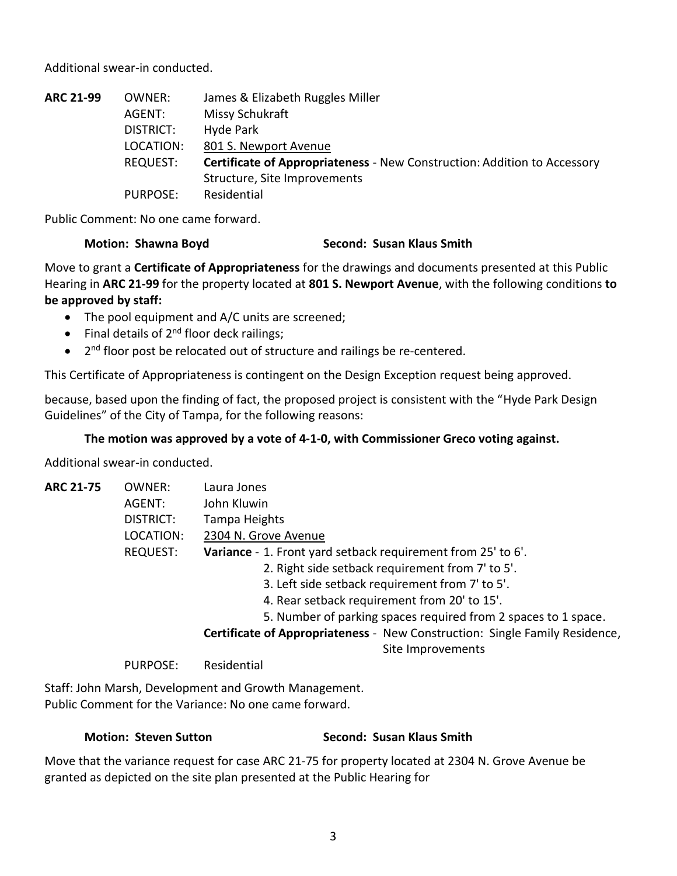Additional swear-in conducted.

| <b>ARC 21-99</b> | OWNER:          | James & Elizabeth Ruggles Miller                                                |
|------------------|-----------------|---------------------------------------------------------------------------------|
|                  | AGENT:          | Missy Schukraft                                                                 |
|                  | DISTRICT:       | Hyde Park                                                                       |
|                  | LOCATION:       | 801 S. Newport Avenue                                                           |
|                  | REQUEST:        | <b>Certificate of Appropriateness - New Construction: Addition to Accessory</b> |
|                  |                 | Structure, Site Improvements                                                    |
|                  | <b>PURPOSE:</b> | Residential                                                                     |

Public Comment: No one came forward.

## **Motion: Shawna Boyd Second: Susan Klaus Smith**

Move to grant a **Certificate of Appropriateness** for the drawings and documents presented at this Public Hearing in **ARC 21-99** for the property located at **801 S. Newport Avenue**, with the following conditions **to be approved by staff:**

- The pool equipment and A/C units are screened;
- Final details of 2<sup>nd</sup> floor deck railings;
- 2<sup>nd</sup> floor post be relocated out of structure and railings be re-centered.

This Certificate of Appropriateness is contingent on the Design Exception request being approved.

because, based upon the finding of fact, the proposed project is consistent with the "Hyde Park Design Guidelines" of the City of Tampa, for the following reasons:

## **The motion was approved by a vote of 4-1-0, with Commissioner Greco voting against.**

Additional swear-in conducted.

| <b>ARC 21-75</b> | OWNER:          | Laura Jones                                                                 |
|------------------|-----------------|-----------------------------------------------------------------------------|
|                  | AGENT:          | John Kluwin                                                                 |
|                  | DISTRICT:       | Tampa Heights                                                               |
|                  | LOCATION:       | 2304 N. Grove Avenue                                                        |
|                  | <b>REQUEST:</b> | Variance - 1. Front yard setback requirement from 25' to 6'.                |
|                  |                 | 2. Right side setback requirement from 7' to 5'.                            |
|                  |                 | 3. Left side setback requirement from 7' to 5'.                             |
|                  |                 | 4. Rear setback requirement from 20' to 15'.                                |
|                  |                 | 5. Number of parking spaces required from 2 spaces to 1 space.              |
|                  |                 | Certificate of Appropriateness - New Construction: Single Family Residence, |
|                  |                 | Site Improvements                                                           |

PURPOSE: Residential

Staff: John Marsh, Development and Growth Management. Public Comment for the Variance: No one came forward.

## **Motion: Steven Sutton Second: Susan Klaus Smith**

Move that the variance request for case ARC 21-75 for property located at 2304 N. Grove Avenue be granted as depicted on the site plan presented at the Public Hearing for